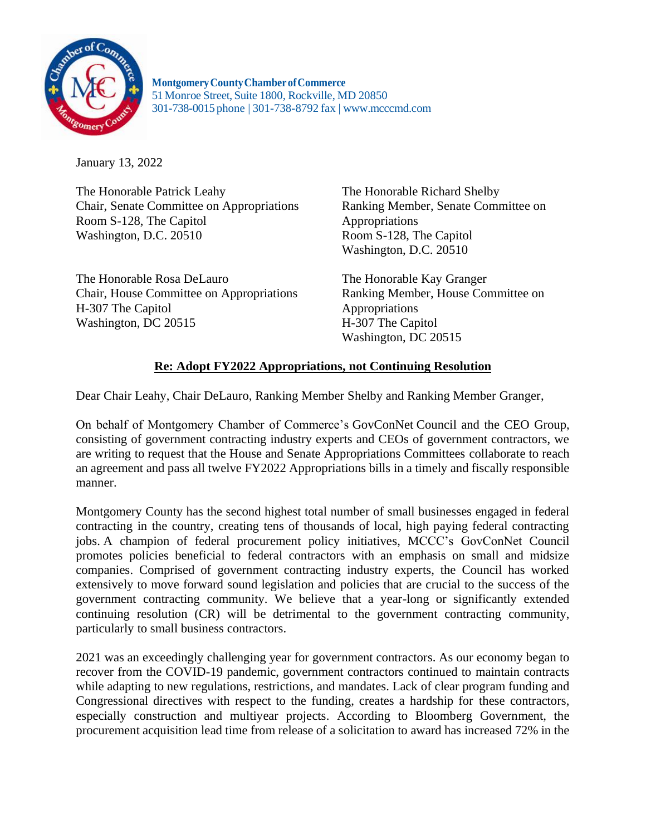

**MontgomeryCountyChamberofCommerce** 51Monroe Street, Suite 1800, Rockville, MD 20850 301-738-0015 phone | 301-738-8792 fax | [www.mcccmd.com](http://www.mcccmd.com/)

January 13, 2022

The Honorable Patrick Leahy Chair, Senate Committee on Appropriations Room S-128, The Capitol Washington, D.C. 20510

The Honorable Rosa DeLauro Chair, House Committee on Appropriations H-307 The Capitol Washington, DC 20515

The Honorable Richard Shelby Ranking Member, Senate Committee on Appropriations Room S-128, The Capitol Washington, D.C. 20510

The Honorable Kay Granger Ranking Member, House Committee on Appropriations H-307 The Capitol Washington, DC 20515

## **Re: Adopt FY2022 Appropriations, not Continuing Resolution**

Dear Chair Leahy, Chair DeLauro, Ranking Member Shelby and Ranking Member Granger,

On behalf of Montgomery Chamber of Commerce's GovConNet Council and the CEO Group, consisting of government contracting industry experts and CEOs of government contractors, we are writing to request that the House and Senate Appropriations Committees collaborate to reach an agreement and pass all twelve FY2022 Appropriations bills in a timely and fiscally responsible manner.

Montgomery County has the second highest total number of small businesses engaged in federal contracting in the country, creating tens of thousands of local, high paying federal contracting jobs. A champion of federal procurement policy initiatives, MCCC's GovConNet Council promotes policies beneficial to federal contractors with an emphasis on small and midsize companies. Comprised of government contracting industry experts, the Council has worked extensively to move forward sound legislation and policies that are crucial to the success of the government contracting community. We believe that a year-long or significantly extended continuing resolution (CR) will be detrimental to the government contracting community, particularly to small business contractors.

2021 was an exceedingly challenging year for government contractors. As our economy began to recover from the COVID-19 pandemic, government contractors continued to maintain contracts while adapting to new regulations, restrictions, and mandates. Lack of clear program funding and Congressional directives with respect to the funding, creates a hardship for these contractors, especially construction and multiyear projects. According to Bloomberg Government, the procurement acquisition lead time from release of a solicitation to award has increased 72% in the